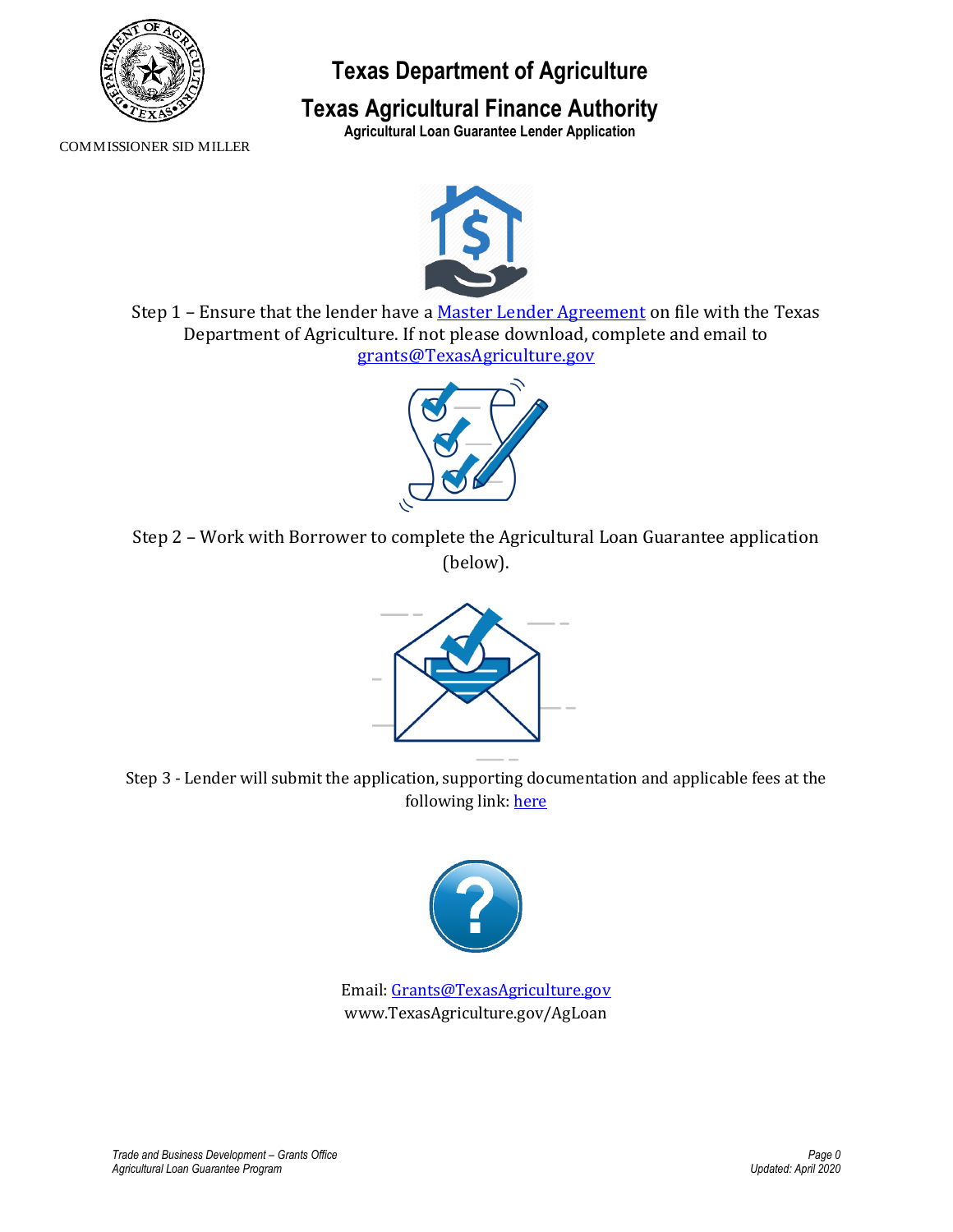

# **Texas Department of Agriculture**

## **Texas Agricultural Finance Authority**

**Agricultural Loan Guarantee Lender Application**

COMMISSIONER SID MILLER



Step 1 – Ensure that the lender have a [Master Lender Agreement](https://www.texasagriculture.gov/Portals/0/Publications/ER/ALG/Master_Lender_ALG_Agreement_fillabletemplate%20(2).pdf) on file with the Texas Department of Agriculture. If not please download, complete and email to [grants@TexasAgriculture.gov](mailto:grants@TexasAgriculture.gov)



Step 2 – Work with Borrower to complete the Agricultural Loan Guarantee application (below).



Step 3 - Lender will submit the application, supporting documentation and applicable fees at the following link: [here](https://form.jotform.com/200935703437151)



Email[: Grants@TexasAgriculture.gov](mailto:Grants@TexasAgriculture.gov) www.TexasAgriculture.gov/AgLoan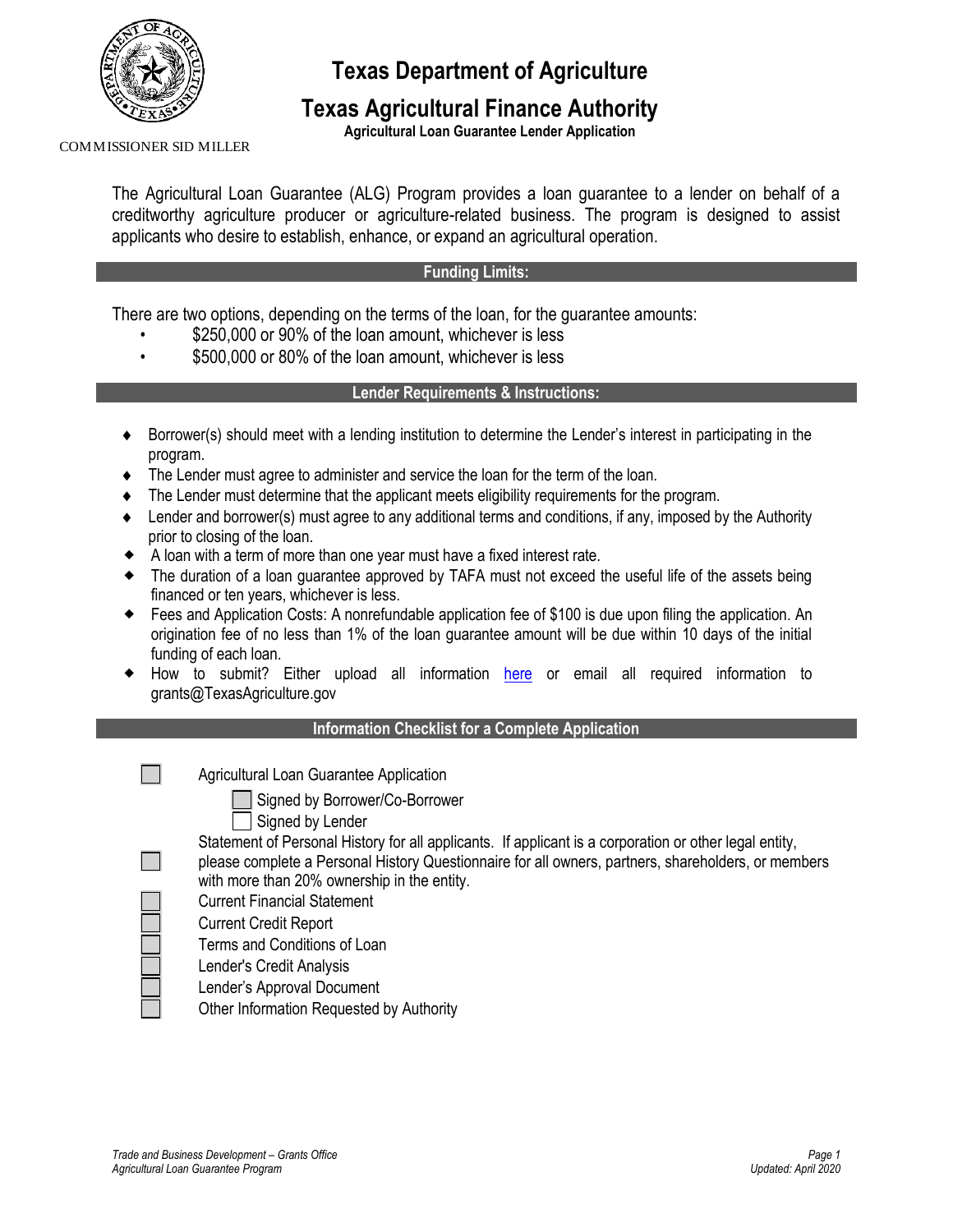

**Texas Department of Agriculture**

### **Texas Agricultural Finance Authority**

**Agricultural Loan Guarantee Lender Application**

COMMISSIONER SID MILLER

The Agricultural Loan Guarantee (ALG) Program provides a loan guarantee to a lender on behalf of a creditworthy agriculture producer or agriculture-related business. The program is designed to assist applicants who desire to establish, enhance, or expand an agricultural operation.

### **Funding Limits:**

There are two options, depending on the terms of the loan, for the guarantee amounts:

- \$250,000 or 90% of the loan amount, whichever is less
- \$500,000 or 80% of the loan amount, whichever is less

### **Lender Requirements & Instructions:**

- Borrower(s) should meet with a lending institution to determine the Lender's interest in participating in the program.
- The Lender must agree to administer and service the loan for the term of the loan.
- The Lender must determine that the applicant meets eligibility requirements for the program.
- Lender and borrower(s) must agree to any additional terms and conditions, if any, imposed by the Authority prior to closing of the loan.
- A loan with a term of more than one year must have a fixed interest rate.
- The duration of a loan guarantee approved by TAFA must not exceed the useful life of the assets being financed or ten years, whichever is less.
- Fees and Application Costs: A nonrefundable application fee of \$100 is due upon filing the application. An origination fee of no less than 1% of the loan guarantee amount will be due within 10 days of the initial funding of each loan.
- How to submit? Either upload all information [here](https://form.jotform.com/200935703437151) or email all required information to grants@TexasAgriculture.gov

### **Information Checklist for a Complete Application**

 $\sim 1$ 

Agricultural Loan Guarantee Application

Signed by Borrower/Co-Borrower

| Signed by Lender |  |  |  |  |
|------------------|--|--|--|--|
|------------------|--|--|--|--|

Statement of Personal History for all applicants. If applicant is a corporation or other legal entity, please complete a Personal History Questionnaire for all owners, partners, shareholders, or members with more than 20% ownership in the entity.

- Current Financial Statement
- Current Credit Report
- Terms and Conditions of Loan
- Lender's Credit Analysis
- Lender's Approval Document
- Other Information Requested by Authority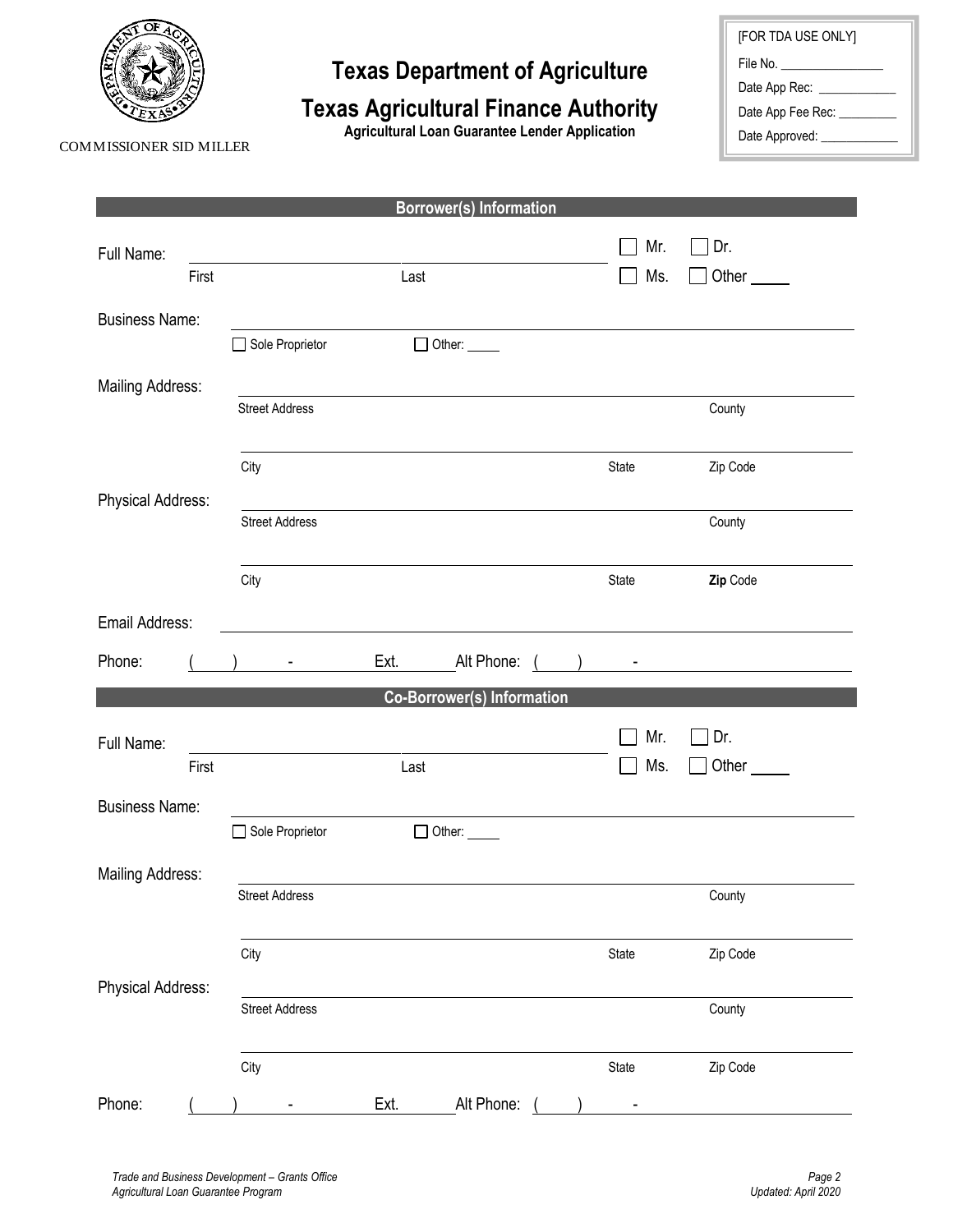

# **Texas Department of Agriculture**

# **Texas Agricultural Finance Authority**

**Agricultural Loan Guarantee Lender Application**

| [FOR TDA USE ONLY]      |  |  |  |
|-------------------------|--|--|--|
| File No. ______________ |  |  |  |
| Date App Rec:           |  |  |  |
| Date App Fee Rec:       |  |  |  |
| Date Approved:          |  |  |  |

COMMISSIONER SID MILLER

|                         |                       | <b>Borrower(s) Information</b>    |       |                                                                                                                      |
|-------------------------|-----------------------|-----------------------------------|-------|----------------------------------------------------------------------------------------------------------------------|
| Full Name:              |                       |                                   | Mr.   | Dr.                                                                                                                  |
| First                   |                       | Last                              | Ms.   | Other <sub>_____</sub>                                                                                               |
|                         |                       |                                   |       |                                                                                                                      |
| <b>Business Name:</b>   | Sole Proprietor       | $\Box$ Other: $\_\_\_\_\_\_\$     |       |                                                                                                                      |
|                         |                       |                                   |       |                                                                                                                      |
| <b>Mailing Address:</b> | <b>Street Address</b> |                                   |       | County                                                                                                               |
|                         |                       |                                   |       |                                                                                                                      |
|                         | City                  |                                   | State | Zip Code                                                                                                             |
| Physical Address:       |                       |                                   |       |                                                                                                                      |
|                         | <b>Street Address</b> |                                   |       | County                                                                                                               |
|                         |                       |                                   |       |                                                                                                                      |
|                         | City                  |                                   | State | Zip Code                                                                                                             |
| Email Address:          |                       |                                   |       |                                                                                                                      |
|                         |                       |                                   |       |                                                                                                                      |
| Phone:                  | $\blacksquare$        | Ext.<br>Alt Phone:                |       | <u> 1970 - Jan Stein Harry Harry Harry Harry Harry Harry Harry Harry Harry Harry Harry Harry Harry Harry Harry H</u> |
|                         |                       | <b>Co-Borrower(s) Information</b> |       |                                                                                                                      |
| Full Name:              |                       |                                   | Mr.   | Dr.                                                                                                                  |
| First                   |                       | Last                              | Ms.   | Other <sub>______</sub>                                                                                              |
| <b>Business Name:</b>   |                       |                                   |       |                                                                                                                      |
|                         | Sole Proprietor       | $\Box$ Other: $\_\_\_\_\_\_\_\_\$ |       |                                                                                                                      |
| Mailing Address:        |                       |                                   |       |                                                                                                                      |
|                         | <b>Street Address</b> |                                   |       | County                                                                                                               |
|                         |                       |                                   |       |                                                                                                                      |
|                         | City                  |                                   | State | Zip Code                                                                                                             |
| Physical Address:       |                       |                                   |       |                                                                                                                      |
|                         | <b>Street Address</b> |                                   |       | County                                                                                                               |
|                         |                       |                                   |       |                                                                                                                      |
|                         | City                  |                                   | State | Zip Code                                                                                                             |
| Phone:                  |                       | Alt Phone:<br>Ext.                |       |                                                                                                                      |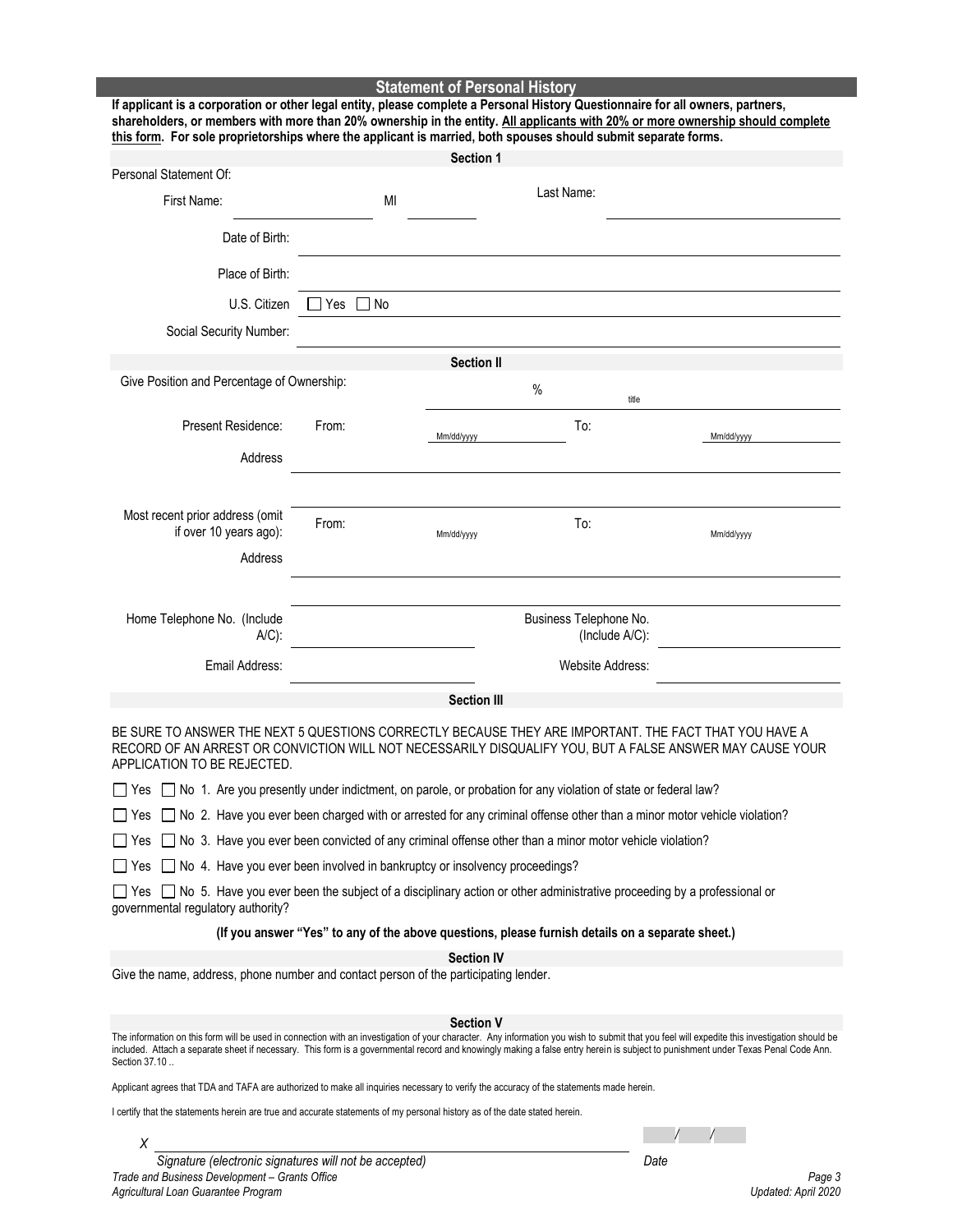**Statement of Personal History If applicant is a corporation or other legal entity, please complete a Personal History Questionnaire for all owners, partners, shareholders, or members with more than 20% ownership in the entity. All applicants with 20% or more ownership should complete this form. For sole proprietorships where the applicant is married, both spouses should submit separate forms. Section 1**  Personal Statement Of: First Name: MI Last Name: Date of Birth: Place of Birth:  $U.S.$  Citizen  $\Box$  Yes  $\Box$  No Social Security Number: **Section II** Give Position and Percentage of Ownership:  $\frac{1}{6}$ title Present Residence: From: Mm/dd/yyyy To: Mm/dd/yyyy Address Most recent prior address (omit If prior address (ornic<br>if over 10 years ago): From: To:

BE SURE TO ANSWER THE NEXT 5 QUESTIONS CORRECTLY BECAUSE THEY ARE IMPORTANT. THE FACT THAT YOU HAVE A RECORD OF AN ARREST OR CONVICTION WILL NOT NECESSARILY DISQUALIFY YOU, BUT A FALSE ANSWER MAY CAUSE YOUR APPLICATION TO BE REJECTED.

**Section III** 

Business Telephone No.

(Include A/C):

Mm/dd/yyyy

 $\Box$  Yes  $\Box$  No 1. Are you presently under indictment, on parole, or probation for any violation of state or federal law?

Email Address: Website Address:

 $\Box$  Yes  $\Box$  No 2. Have you ever been charged with or arrested for any criminal offense other than a minor motor vehicle violation?

 $\Box$  Yes  $\Box$  No 3. Have you ever been convicted of any criminal offense other than a minor motor vehicle violation?

 $\Box$  Yes  $\Box$  No 4. Have you ever been involved in bankruptcy or insolvency proceedings?

 $\Box$  Yes  $\Box$  No 5. Have you ever been the subject of a disciplinary action or other administrative proceeding by a professional or governmental regulatory authority?

**(If you answer "Yes" to any of the above questions, please furnish details on a separate sheet.)**

**Section IV**

Give the name, address, phone number and contact person of the participating lender.

#### **Section V**

The information on this form will be used in connection with an investigation of your character. Any information you wish to submit that you feel will expedite this investigation should be included. Attach a separate sheet if necessary. This form is a governmental record and knowingly making a false entry herein is subject to punishment under Texas Penal Code Ann. Section 37.10 ..

Applicant agrees that TDA and TAFA are authorized to make all inquiries necessary to verify the accuracy of the statements made herein.

I certify that the statements herein are true and accurate statements of my personal history as of the date stated herein.

*/ /*

Mm/dd/yyyy

*Trade and Business Development – Grants Office Page 3 Agricultural Loan Guarantee Program Updated: April 2020 Signature (electronic signatures will not be accepted) Date*

*X*

Address

A/C):

Home Telephone No. (Include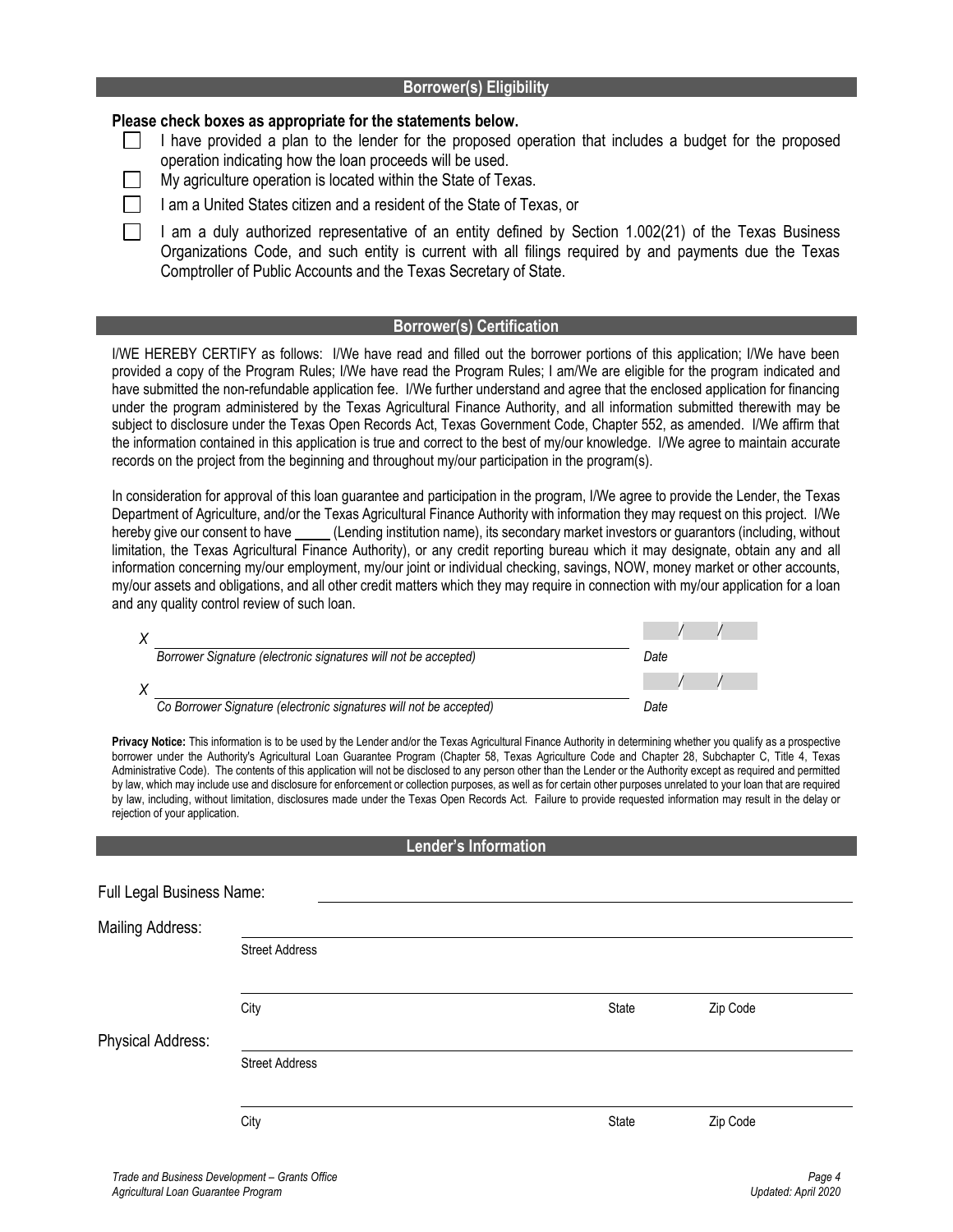#### **Borrower(s) Eligibility**

### **Please check boxes as appropriate for the statements below.**

- $\mathbf{L}$ I have provided a plan to the lender for the proposed operation that includes a budget for the proposed operation indicating how the loan proceeds will be used.
	- My agriculture operation is located within the State of Texas.
	- I am a United States citizen and a resident of the State of Texas, or
	- I am a duly authorized representative of an entity defined by Section 1.002(21) of the Texas Business Organizations Code, and such entity is current with all filings required by and payments due the Texas Comptroller of Public Accounts and the Texas Secretary of State.

### **Borrower(s) Certification**

I/WE HEREBY CERTIFY as follows: I/We have read and filled out the borrower portions of this application; I/We have been provided a copy of the Program Rules; I/We have read the Program Rules; I am/We are eligible for the program indicated and have submitted the non-refundable application fee. I/We further understand and agree that the enclosed application for financing under the program administered by the Texas Agricultural Finance Authority, and all information submitted therewith may be subject to disclosure under the Texas Open Records Act, Texas Government Code, Chapter 552, as amended. I/We affirm that the information contained in this application is true and correct to the best of my/our knowledge. I/We agree to maintain accurate records on the project from the beginning and throughout my/our participation in the program(s).

In consideration for approval of this loan guarantee and participation in the program, I/We agree to provide the Lender, the Texas Department of Agriculture, and/or the Texas Agricultural Finance Authority with information they may request on this project. I/We hereby give our consent to have \_\_\_\_\_(Lending institution name), its secondary market investors or guarantors (including, without limitation, the Texas Agricultural Finance Authority), or any credit reporting bureau which it may designate, obtain any and all information concerning my/our employment, my/our joint or individual checking, savings, NOW, money market or other accounts, my/our assets and obligations, and all other credit matters which they may require in connection with my/our application for a loan and any quality control review of such loan.

| Borrower Signature (electronic signatures will not be accepted)    | Date |
|--------------------------------------------------------------------|------|
|                                                                    |      |
| Co Borrower Signature (electronic signatures will not be accepted) | Date |

**Privacy Notice:** This information is to be used by the Lender and/or the Texas Agricultural Finance Authority in determining whether you qualify as a prospective borrower under the Authority's Agricultural Loan Guarantee Program (Chapter 58, Texas Agriculture Code and Chapter 28, Subchapter C, Title 4, Texas Administrative Code). The contents of this application will not be disclosed to any person other than the Lender or the Authority except as required and permitted by law, which may include use and disclosure for enforcement or collection purposes, as well as for certain other purposes unrelated to your loan that are required by law, including, without limitation, disclosures made under the Texas Open Records Act. Failure to provide requested information may result in the delay or rejection of your application.

#### **Lender's Information**

| Full Legal Business Name: |                       |       |          |
|---------------------------|-----------------------|-------|----------|
| <b>Mailing Address:</b>   |                       |       |          |
|                           | <b>Street Address</b> |       |          |
|                           |                       |       |          |
|                           | City                  | State | Zip Code |
| Physical Address:         |                       |       |          |
|                           | <b>Street Address</b> |       |          |
|                           |                       |       |          |
|                           | City                  | State | Zip Code |
|                           |                       |       |          |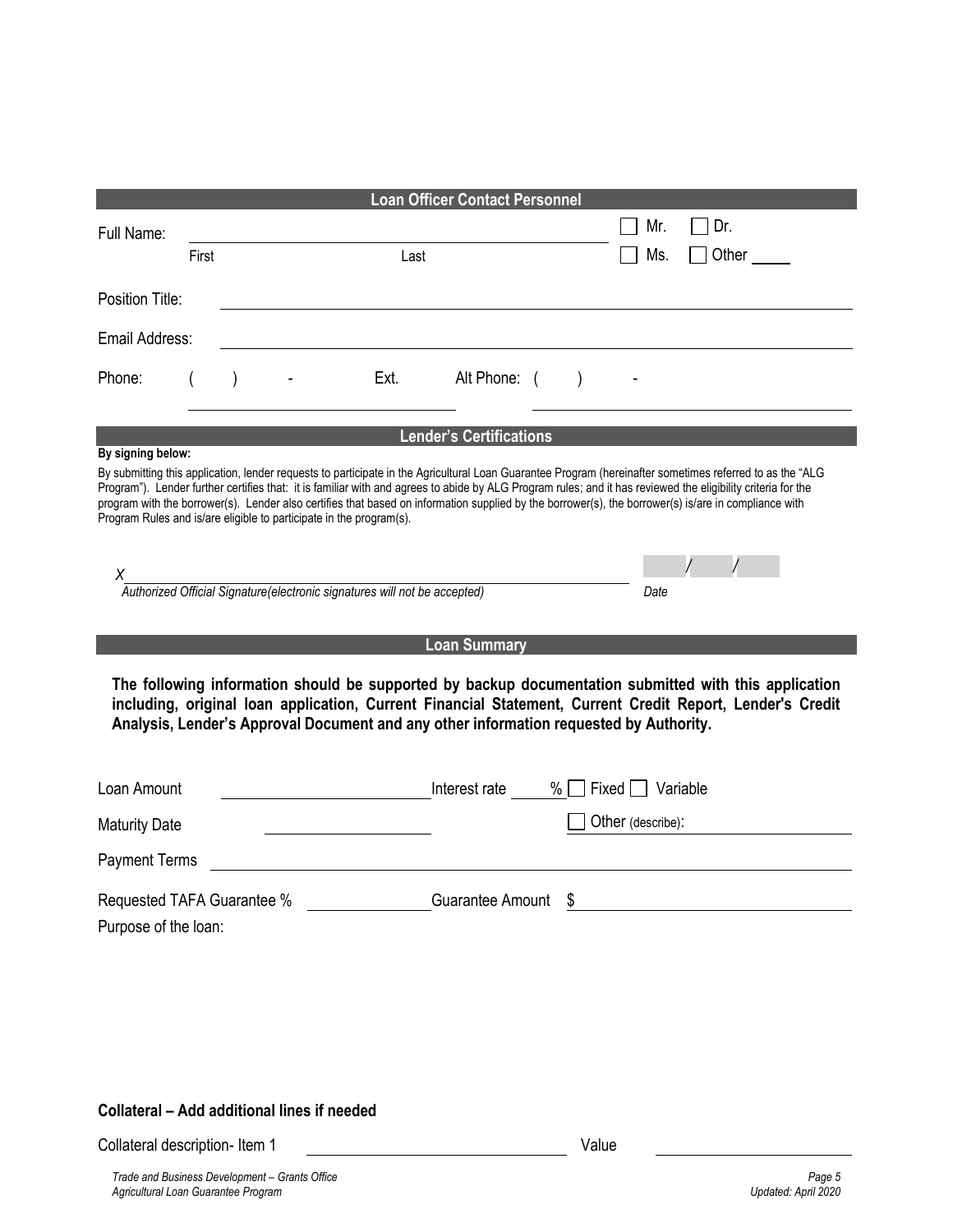| <b>Loan Officer Contact Personnel</b>                                                                                                                                                                                                                                                                                                                                                                                                                                                                                                                                        |                                                                                        |  |  |      |                                |                  |                   |     |       |
|------------------------------------------------------------------------------------------------------------------------------------------------------------------------------------------------------------------------------------------------------------------------------------------------------------------------------------------------------------------------------------------------------------------------------------------------------------------------------------------------------------------------------------------------------------------------------|----------------------------------------------------------------------------------------|--|--|------|--------------------------------|------------------|-------------------|-----|-------|
| Full Name:                                                                                                                                                                                                                                                                                                                                                                                                                                                                                                                                                                   |                                                                                        |  |  |      |                                |                  |                   | Mr. | Dr.   |
|                                                                                                                                                                                                                                                                                                                                                                                                                                                                                                                                                                              | First                                                                                  |  |  | Last |                                |                  |                   | Ms. | Other |
| Position Title:                                                                                                                                                                                                                                                                                                                                                                                                                                                                                                                                                              |                                                                                        |  |  |      |                                |                  |                   |     |       |
| Email Address:                                                                                                                                                                                                                                                                                                                                                                                                                                                                                                                                                               |                                                                                        |  |  |      |                                |                  |                   |     |       |
| Phone:                                                                                                                                                                                                                                                                                                                                                                                                                                                                                                                                                                       |                                                                                        |  |  | Ext. | Alt Phone: (                   | $\left( \right)$ |                   |     |       |
|                                                                                                                                                                                                                                                                                                                                                                                                                                                                                                                                                                              |                                                                                        |  |  |      | <b>Lender's Certifications</b> |                  |                   |     |       |
| By signing below:<br>By submitting this application, lender requests to participate in the Agricultural Loan Guarantee Program (hereinafter sometimes referred to as the "ALG<br>Program"). Lender further certifies that: it is familiar with and agrees to abide by ALG Program rules; and it has reviewed the eligibility criteria for the<br>program with the borrower(s). Lender also certifies that based on information supplied by the borrower(s), the borrower(s) is/are in compliance with<br>Program Rules and is/are eligible to participate in the program(s). |                                                                                        |  |  |      |                                |                  |                   |     |       |
|                                                                                                                                                                                                                                                                                                                                                                                                                                                                                                                                                                              | x<br>Authorized Official Signature(electronic signatures will not be accepted)<br>Date |  |  |      |                                |                  |                   |     |       |
|                                                                                                                                                                                                                                                                                                                                                                                                                                                                                                                                                                              |                                                                                        |  |  |      | <b>Loan Summary</b>            |                  |                   |     |       |
| The following information should be supported by backup documentation submitted with this application<br>including, original loan application, Current Financial Statement, Current Credit Report, Lender's Credit<br>Analysis, Lender's Approval Document and any other information requested by Authority.                                                                                                                                                                                                                                                                 |                                                                                        |  |  |      |                                |                  |                   |     |       |
| Loan Amount                                                                                                                                                                                                                                                                                                                                                                                                                                                                                                                                                                  |                                                                                        |  |  |      | Interest rate $\%$             |                  | $Fixed$ Variable  |     |       |
| <b>Maturity Date</b>                                                                                                                                                                                                                                                                                                                                                                                                                                                                                                                                                         |                                                                                        |  |  |      |                                |                  | Other (describe): |     |       |
| <b>Payment Terms</b>                                                                                                                                                                                                                                                                                                                                                                                                                                                                                                                                                         |                                                                                        |  |  |      |                                |                  |                   |     |       |
| Requested TAFA Guarantee %<br>Purpose of the loan:                                                                                                                                                                                                                                                                                                                                                                                                                                                                                                                           |                                                                                        |  |  |      | <b>Guarantee Amount</b>        | \$               |                   |     |       |

### **Collateral – Add additional lines if needed**

Collateral description- Item 1 Value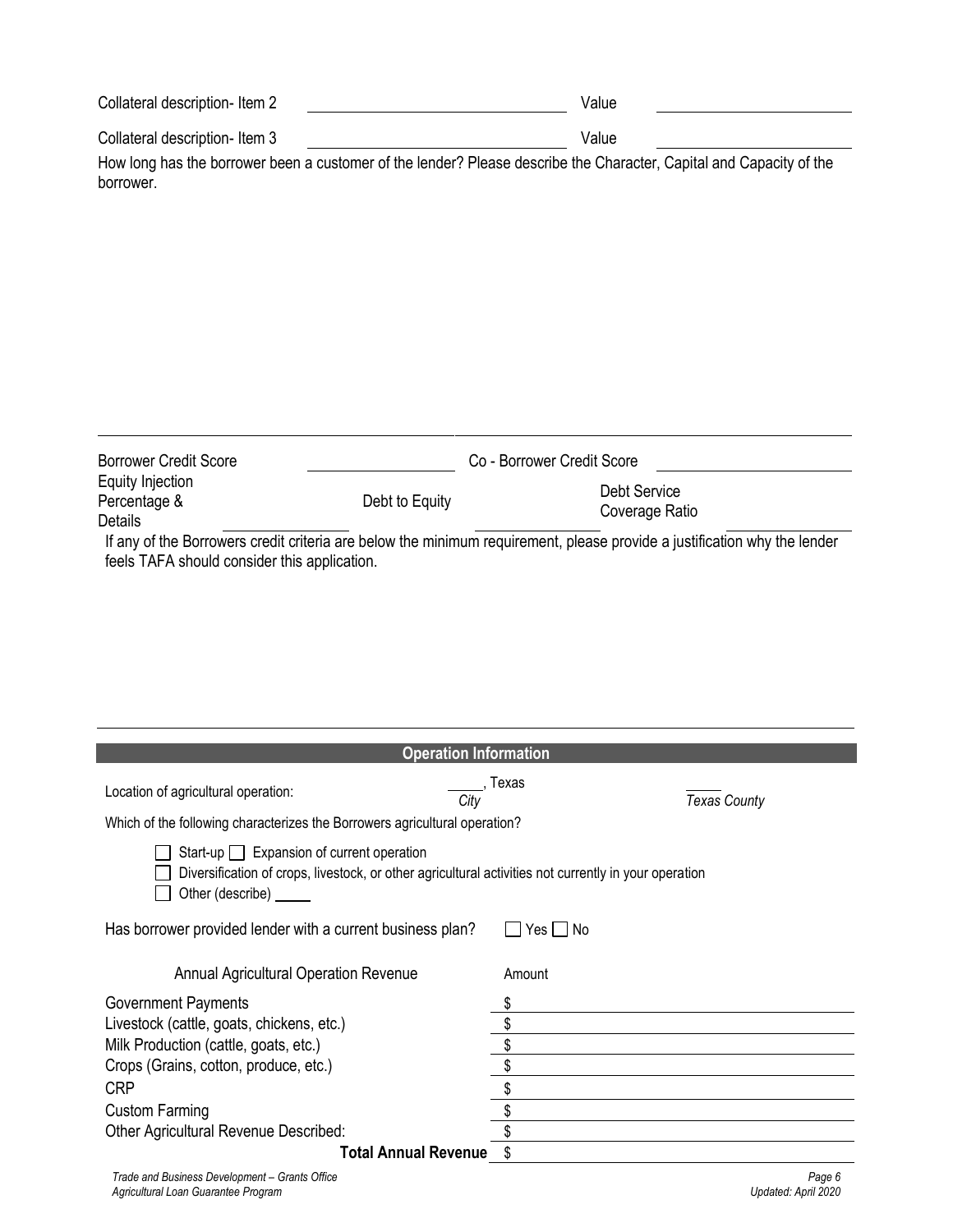| Collateral description-Item 2 | Value |  |
|-------------------------------|-------|--|
| Collateral description-Item 3 | Value |  |

How long has the borrower been a customer of the lender? Please describe the Character, Capital and Capacity of the borrower.

| <b>Borrower Credit Score</b>     |                | Co - Borrower Credit Score                                                                                               |  |
|----------------------------------|----------------|--------------------------------------------------------------------------------------------------------------------------|--|
| Equity Injection<br>Percentage & | Debt to Equity | Debt Service                                                                                                             |  |
| Details                          |                | Coverage Ratio                                                                                                           |  |
|                                  |                | If any of the Borrowers credit criteria are below the minimum requirement, please provide a justification why the lender |  |

feels TAFA should consider this application.

| <b>Operation Information</b>                                                                                                                                                |           |                     |  |  |
|-----------------------------------------------------------------------------------------------------------------------------------------------------------------------------|-----------|---------------------|--|--|
| Location of agricultural operation:<br>City                                                                                                                                 | Texas     | <b>Texas County</b> |  |  |
| Which of the following characterizes the Borrowers agricultural operation?                                                                                                  |           |                     |  |  |
| Start-up $\Box$ Expansion of current operation<br>Diversification of crops, livestock, or other agricultural activities not currently in your operation<br>Other (describe) |           |                     |  |  |
| Has borrower provided lender with a current business plan?                                                                                                                  | Yes I INo |                     |  |  |
| Annual Agricultural Operation Revenue                                                                                                                                       | Amount    |                     |  |  |
| <b>Government Payments</b>                                                                                                                                                  | \$        |                     |  |  |
| Livestock (cattle, goats, chickens, etc.)                                                                                                                                   |           |                     |  |  |
| Milk Production (cattle, goats, etc.)                                                                                                                                       | \$        |                     |  |  |
| Crops (Grains, cotton, produce, etc.)                                                                                                                                       | \$        |                     |  |  |
| <b>CRP</b>                                                                                                                                                                  | \$        |                     |  |  |
| <b>Custom Farming</b>                                                                                                                                                       | \$        |                     |  |  |
| Other Agricultural Revenue Described:                                                                                                                                       |           |                     |  |  |
| Total Annual Revenue \$                                                                                                                                                     |           |                     |  |  |
| Trade and Business Development - Grants Office                                                                                                                              |           | Page 6              |  |  |